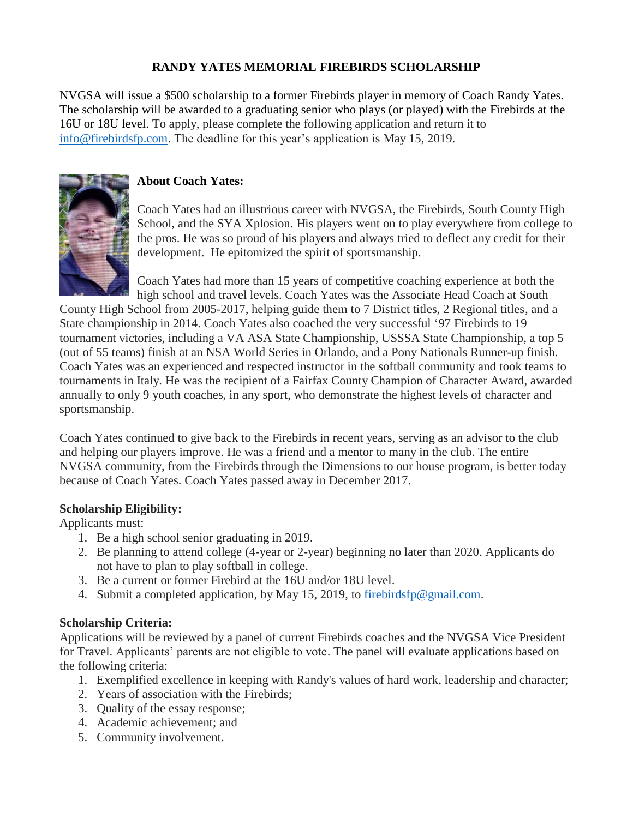# **RANDY YATES MEMORIAL FIREBIRDS SCHOLARSHIP**

NVGSA will issue a \$500 scholarship to a former Firebirds player in memory of Coach Randy Yates. The scholarship will be awarded to a graduating senior who plays (or played) with the Firebirds at the 16U or 18U level. To apply, please complete the following application and return it to [info@firebirdsfp.com.](mailto:info@firebirdsfp.com) The deadline for this year's application is May 15, 2019.



# **About Coach Yates:**

Coach Yates had an illustrious career with NVGSA, the Firebirds, South County High School, and the SYA Xplosion. His players went on to play everywhere from college to the pros. He was so proud of his players and always tried to deflect any credit for their development. He epitomized the spirit of sportsmanship.

Coach Yates had more than 15 years of competitive coaching experience at both the high school and travel levels. Coach Yates was the Associate Head Coach at South

County High School from 2005-2017, helping guide them to 7 District titles, 2 Regional titles, and a State championship in 2014. Coach Yates also coached the very successful '97 Firebirds to 19 tournament victories, including a VA ASA State Championship, USSSA State Championship, a top 5 (out of 55 teams) finish at an NSA World Series in Orlando, and a Pony Nationals Runner-up finish. Coach Yates was an experienced and respected instructor in the softball community and took teams to tournaments in Italy. He was the recipient of a Fairfax County Champion of Character Award, awarded annually to only 9 youth coaches, in any sport, who demonstrate the highest levels of character and sportsmanship.

Coach Yates continued to give back to the Firebirds in recent years, serving as an advisor to the club and helping our players improve. He was a friend and a mentor to many in the club. The entire NVGSA community, from the Firebirds through the Dimensions to our house program, is better today because of Coach Yates. Coach Yates passed away in December 2017.

## **Scholarship Eligibility:**

Applicants must:

- 1. Be a high school senior graduating in 2019.
- 2. Be planning to attend college (4-year or 2-year) beginning no later than 2020. Applicants do not have to plan to play softball in college.
- 3. Be a current or former Firebird at the 16U and/or 18U level.
- 4. Submit a completed application, by May 15, 2019, to [firebirdsfp@gmail.com.](mailto:firebirdsfp@gmail.com)

## **Scholarship Criteria:**

Applications will be reviewed by a panel of current Firebirds coaches and the NVGSA Vice President for Travel. Applicants' parents are not eligible to vote. The panel will evaluate applications based on the following criteria:

- 1. Exemplified excellence in keeping with Randy's values of hard work, leadership and character;
- 2. Years of association with the Firebirds;
- 3. Quality of the essay response;
- 4. Academic achievement; and
- 5. Community involvement.